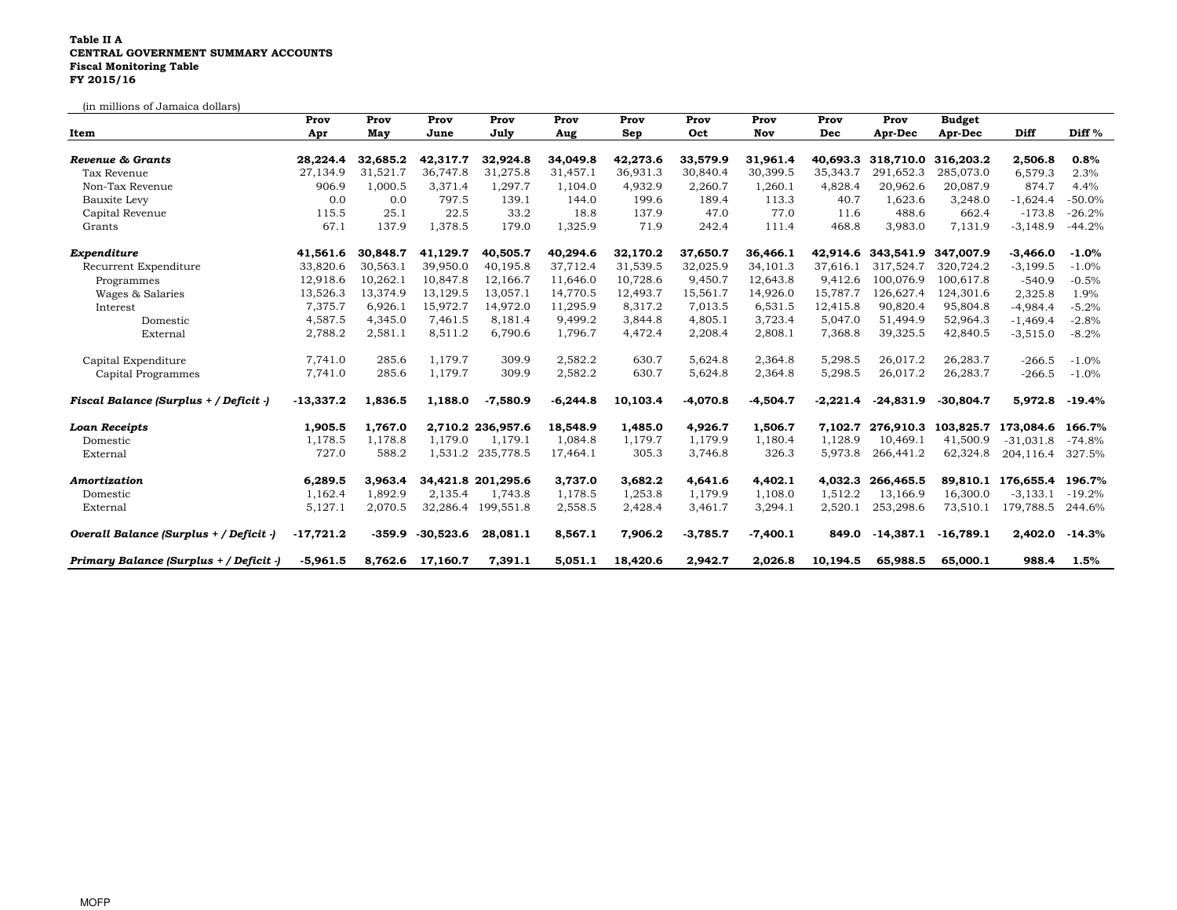## Table II A CENTRAL GOVERNMENT SUMMARY ACCOUNTS Fiscal Monitoring TableFY 2015/16

(in millions of Jamaica dollars)

|                                         | Prov        | Prov     | Prov        | Prov               | Prov       | Prov     | Prov       | Prov       | Prov       | Prov               | <b>Budget</b> |             |           |
|-----------------------------------------|-------------|----------|-------------|--------------------|------------|----------|------------|------------|------------|--------------------|---------------|-------------|-----------|
| Item                                    | Apr         | May      | June        | July               | Aug        | Sep      | Oct        | Nov        | Dec        | Apr-Dec            | Apr-Dec       | Diff        | Diff $%$  |
| Revenue & Grants                        | 28,224.4    | 32,685.2 | 42,317.7    | 32,924.8           | 34,049.8   | 42,273.6 | 33,579.9   | 31,961.4   |            | 40,693.3 318,710.0 | 316,203.2     | 2,506.8     | 0.8%      |
| Tax Revenue                             | 27,134.9    | 31,521.7 | 36,747.8    | 31,275.8           | 31,457.1   | 36,931.3 | 30,840.4   | 30,399.5   | 35,343.7   | 291,652.3          | 285,073.0     | 6,579.3     | 2.3%      |
| Non-Tax Revenue                         | 906.9       | 1,000.5  | 3,371.4     | 1,297.7            | 1,104.0    | 4,932.9  | 2,260.7    | 1,260.1    | 4,828.4    | 20,962.6           | 20,087.9      | 874.7       | 4.4%      |
| Bauxite Levy                            | 0.0         | 0.0      | 797.5       | 139.1              | 144.0      | 199.6    | 189.4      | 113.3      | 40.7       | 1,623.6            | 3,248.0       | $-1,624.4$  | $-50.0\%$ |
| Capital Revenue                         | 115.5       | 25.1     | 22.5        | 33.2               | 18.8       | 137.9    | 47.0       | 77.0       | 11.6       | 488.6              | 662.4         | $-173.8$    | $-26.2%$  |
| Grants                                  | 67.1        | 137.9    | 1,378.5     | 179.0              | 1,325.9    | 71.9     | 242.4      | 111.4      | 468.8      | 3,983.0            | 7,131.9       | $-3,148.9$  | $-44.2%$  |
| Expenditure                             | 41,561.6    | 30,848.7 | 41.129.7    | 40.505.7           | 40,294.6   | 32,170.2 | 37,650.7   | 36,466.1   |            | 42.914.6 343.541.9 | 347,007.9     | -3.466.0    | $-1.0%$   |
| Recurrent Expenditure                   | 33,820.6    | 30,563.1 | 39,950.0    | 40,195.8           | 37,712.4   | 31,539.5 | 32,025.9   | 34,101.3   | 37.616.1   | 317,524.7          | 320,724.2     | $-3,199.5$  | $-1.0%$   |
| Programmes                              | 12,918.6    | 10,262.1 | 10,847.8    | 12,166.7           | 11,646.0   | 10,728.6 | 9,450.7    | 12,643.8   | 9.412.6    | 100.076.9          | 100,617.8     | $-540.9$    | $-0.5%$   |
| Wages & Salaries                        | 13,526.3    | 13,374.9 | 13,129.5    | 13,057.1           | 14,770.5   | 12,493.7 | 15,561.7   | 14,926.0   | 15,787.7   | 126,627.4          | 124,301.6     | 2,325.8     | 1.9%      |
| Interest                                | 7,375.7     | 6,926.1  | 15,972.7    | 14,972.0           | 11,295.9   | 8,317.2  | 7,013.5    | 6,531.5    | 12,415.8   | 90,820.4           | 95,804.8      | $-4,984.4$  | $-5.2%$   |
| Domestic                                | 4,587.5     | 4,345.0  | 7,461.5     | 8,181.4            | 9,499.2    | 3,844.8  | 4,805.1    | 3,723.4    | 5,047.0    | 51,494.9           | 52,964.3      | $-1,469.4$  | $-2.8%$   |
| External                                | 2,788.2     | 2,581.1  | 8,511.2     | 6,790.6            | 1,796.7    | 4,472.4  | 2,208.4    | 2,808.1    | 7,368.8    | 39,325.5           | 42,840.5      | $-3,515.0$  | $-8.2%$   |
| Capital Expenditure                     | 7,741.0     | 285.6    | 1,179.7     | 309.9              | 2,582.2    | 630.7    | 5,624.8    | 2,364.8    | 5,298.5    | 26,017.2           | 26,283.7      | $-266.5$    | $-1.0%$   |
| Capital Programmes                      | 7,741.0     | 285.6    | 1,179.7     | 309.9              | 2,582.2    | 630.7    | 5,624.8    | 2,364.8    | 5,298.5    | 26,017.2           | 26,283.7      | $-266.5$    | $-1.0%$   |
| Fiscal Balance (Surplus + / Deficit -)  | $-13,337.2$ | 1,836.5  | 1,188.0     | $-7,580.9$         | $-6,244.8$ | 10,103.4 | $-4,070.8$ | $-4,504.7$ | $-2,221.4$ | $-24,831.9$        | $-30,804.7$   | 5,972.8     | $-19.4%$  |
| <b>Loan Receipts</b>                    | 1,905.5     | 1.767.0  |             | 2.710.2 236.957.6  | 18.548.9   | 1,485.0  | 4.926.7    | 1,506.7    | 7.102.7    | 276.910.3          | 103.825.7     | 173.084.6   | 166.7%    |
| Domestic                                | 1,178.5     | 1,178.8  | 1,179.0     | 1,179.1            | 1,084.8    | 1,179.7  | 1,179.9    | 1,180.4    | 1,128.9    | 10,469.1           | 41,500.9      | $-31.031.8$ | $-74.8%$  |
| External                                | 727.0       | 588.2    |             | 1,531.2 235,778.5  | 17,464.1   | 305.3    | 3,746.8    | 326.3      | 5,973.8    | 266,441.2          | 62,324.8      | 204,116.4   | 327.5%    |
| Amortization                            | 6.289.5     | 3,963.4  |             | 34,421.8 201,295.6 | 3,737.0    | 3,682.2  | 4,641.6    | 4,402.1    | 4.032.3    | 266,465.5          | 89,810.1      | 176,655.4   | 196.7%    |
| Domestic                                | 1,162.4     | 1,892.9  | 2,135.4     | 1,743.8            | 1,178.5    | 1,253.8  | 1,179.9    | 1,108.0    | 1,512.2    | 13,166.9           | 16,300.0      | $-3,133.1$  | $-19.2%$  |
| External                                | 5,127.1     | 2,070.5  |             | 32,286.4 199,551.8 | 2,558.5    | 2,428.4  | 3,461.7    | 3,294.1    | 2,520.1    | 253,298.6          | 73,510.1      | 179,788.5   | 244.6%    |
| Overall Balance (Surplus + / Deficit -) | $-17,721.2$ | $-359.9$ | $-30,523.6$ | 28,081.1           | 8,567.1    | 7,906.2  | $-3,785.7$ | $-7,400.1$ | 849.0      | $-14,387.1$        | $-16,789.1$   | 2,402.0     | $-14.3%$  |
| Primary Balance (Surplus + / Deficit -) | $-5,961.5$  | 8.762.6  | 17.160.7    | 7,391.1            | 5.051.1    | 18,420.6 | 2,942.7    | 2,026.8    | 10.194.5   | 65,988.5           | 65,000.1      | 988.4       | 1.5%      |